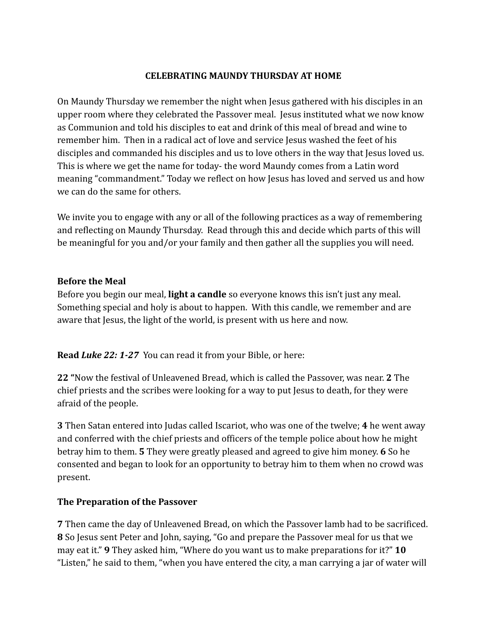### **CELEBRATING MAUNDY THURSDAY AT HOME**

On Maundy Thursday we remember the night when Jesus gathered with his disciples in an upper room where they celebrated the Passover meal. Jesus instituted what we now know as Communion and told his disciples to eat and drink of this meal of bread and wine to remember him. Then in a radical act of love and service Jesus washed the feet of his disciples and commanded his disciples and us to love others in the way that Jesus loved us. This is where we get the name for today- the word Maundy comes from a Latin word meaning "commandment." Today we reflect on how Jesus has loved and served us and how we can do the same for others.

We invite you to engage with any or all of the following practices as a way of remembering and reflecting on Maundy Thursday. Read through this and decide which parts of this will be meaningful for you and/or your family and then gather all the supplies you will need.

#### **Before the Meal**

Before you begin our meal, **light a candle** so everyone knows this isn't just any meal. Something special and holy is about to happen. With this candle, we remember and are aware that Jesus, the light of the world, is present with us here and now.

**Read** *Luke 22: 1-27* You can read it from your Bible, or here:

**22 "**Now the festival of Unleavened Bread, which is called the Passover, was near. **2** The chief priests and the scribes were looking for a way to put Jesus to death, for they were afraid of the people.

**3** Then Satan entered into Judas called Iscariot, who was one of the twelve; **4** he went away and conferred with the chief priests and officers of the temple police about how he might betray him to them. **5** They were greatly pleased and agreed to give him money. **6** So he consented and began to look for an opportunity to betray him to them when no crowd was present.

#### **The Preparation of the Passover**

**7** Then came the day of Unleavened Bread, on which the Passover lamb had to be sacrificed. **8** So Jesus sent Peter and John, saying, "Go and prepare the Passover meal for us that we may eat it." **9** They asked him, "Where do you want us to make preparations for it?" **10** "Listen," he said to them, "when you have entered the city, a man carrying a jar of water will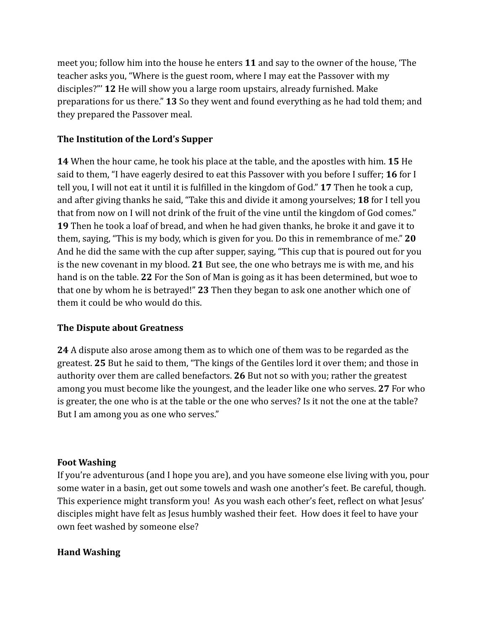meet you; follow him into the house he enters **11** and say to the owner of the house, 'The teacher asks you, "Where is the guest room, where I may eat the Passover with my disciples?"' **12** He will show you a large room upstairs, already furnished. Make preparations for us there." **13** So they went and found everything as he had told them; and they prepared the Passover meal.

## **The Institution of the Lord's Supper**

**14** When the hour came, he took his place at the table, and the apostles with him. **15** He said to them, "I have eagerly desired to eat this Passover with you before I suffer; **16** for I tell you, I will not eat it until it is fulfilled in the kingdom of God." **17** Then he took a cup, and after giving thanks he said, "Take this and divide it among yourselves; **18** for I tell you that from now on I will not drink of the fruit of the vine until the kingdom of God comes." **19** Then he took a loaf of bread, and when he had given thanks, he broke it and gave it to them, saying, "This is my body, which is given for you. Do this in remembrance of me." **20** And he did the same with the cup after supper, saying, "This cup that is poured out for you is the new covenant in my blood. **21** But see, the one who betrays me is with me, and his hand is on the table. **22** For the Son of Man is going as it has been determined, but woe to that one by whom he is betrayed!" **23** Then they began to ask one another which one of them it could be who would do this.

# **The Dispute about Greatness**

**24** A dispute also arose among them as to which one of them was to be regarded as the greatest. **25** But he said to them, "The kings of the Gentiles lord it over them; and those in authority over them are called benefactors. **26** But not so with you; rather the greatest among you must become like the youngest, and the leader like one who serves. **27** For who is greater, the one who is at the table or the one who serves? Is it not the one at the table? But I am among you as one who serves."

## **Foot Washing**

If you're adventurous (and I hope you are), and you have someone else living with you, pour some water in a basin, get out some towels and wash one another's feet. Be careful, though. This experience might transform you! As you wash each other's feet, reflect on what Jesus' disciples might have felt as Jesus humbly washed their feet. How does it feel to have your own feet washed by someone else?

# **Hand Washing**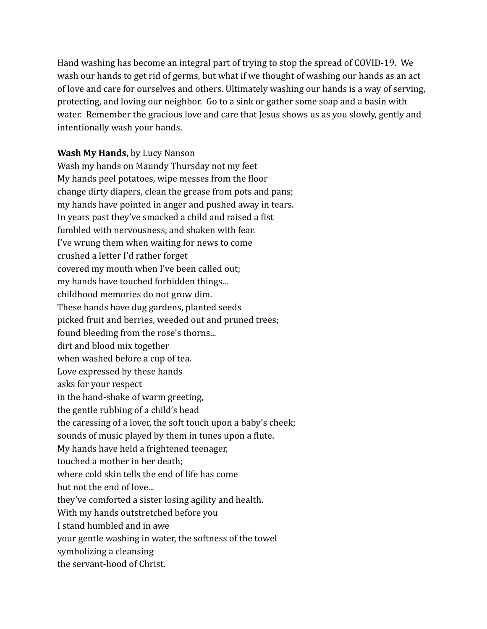Hand washing has become an integral part of trying to stop the spread of COVID-19. We wash our hands to get rid of germs, but what if we thought of washing our hands as an act of love and care for ourselves and others. Ultimately washing our hands is a way of serving, protecting, and loving our neighbor. Go to a sink or gather some soap and a basin with water. Remember the gracious love and care that Jesus shows us as you slowly, gently and intentionally wash your hands.

### **Wash My Hands,** by Lucy Nanson

Wash my hands on Maundy Thursday not my feet My hands peel potatoes, wipe messes from the floor change dirty diapers, clean the grease from pots and pans; my hands have pointed in anger and pushed away in tears. In years past they've smacked a child and raised a fist fumbled with nervousness, and shaken with fear. I've wrung them when waiting for news to come crushed a letter I'd rather forget covered my mouth when I've been called out; my hands have touched forbidden things... childhood memories do not grow dim. These hands have dug gardens, planted seeds picked fruit and berries, weeded out and pruned trees; found bleeding from the rose's thorns... dirt and blood mix together when washed before a cup of tea. Love expressed by these hands asks for your respect in the hand-shake of warm greeting, the gentle rubbing of a child's head the caressing of a lover, the soft touch upon a baby's cheek; sounds of music played by them in tunes upon a flute. My hands have held a frightened teenager, touched a mother in her death; where cold skin tells the end of life has come but not the end of love... they've comforted a sister losing agility and health. With my hands outstretched before you I stand humbled and in awe your gentle washing in water, the softness of the towel symbolizing a cleansing the servant-hood of Christ.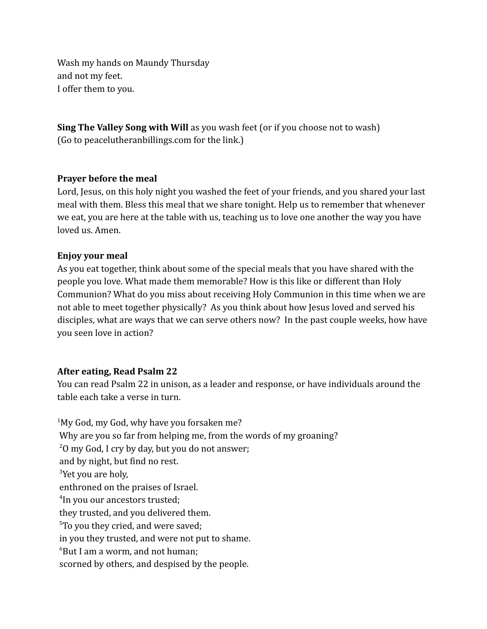Wash my hands on Maundy Thursday and not my feet. I offer them to you.

**Sing The Valley Song with Will** as you wash feet (or if you choose not to wash) (Go to peacelutheranbillings.com for the link.)

### **Prayer before the meal**

Lord, Jesus, on this holy night you washed the feet of your friends, and you shared your last meal with them. Bless this meal that we share tonight. Help us to remember that whenever we eat, you are here at the table with us, teaching us to love one another the way you have loved us. Amen.

### **Enjoy your meal**

As you eat together, think about some of the special meals that you have shared with the people you love. What made them memorable? How is this like or different than Holy Communion? What do you miss about receiving Holy Communion in this time when we are not able to meet together physically? As you think about how Jesus loved and served his disciples, what are ways that we can serve others now? In the past couple weeks, how have you seen love in action?

#### **After eating, Read Psalm 22**

You can read Psalm 22 in unison, as a leader and response, or have individuals around the table each take a verse in turn.

<sup>1</sup>My God, my God, why have you forsaken me? Why are you so far from helping me, from the words of my groaning?  $20$  my God, I cry by day, but you do not answer; and by night, but find no rest. <sup>3</sup>Yet you are holy, enthroned on the praises of Israel. 4 In you our ancestors trusted; they trusted, and you delivered them. <sup>5</sup>To you they cried, and were saved; in you they trusted, and were not put to shame.  $6B$ ut I am a worm, and not human; scorned by others, and despised by the people.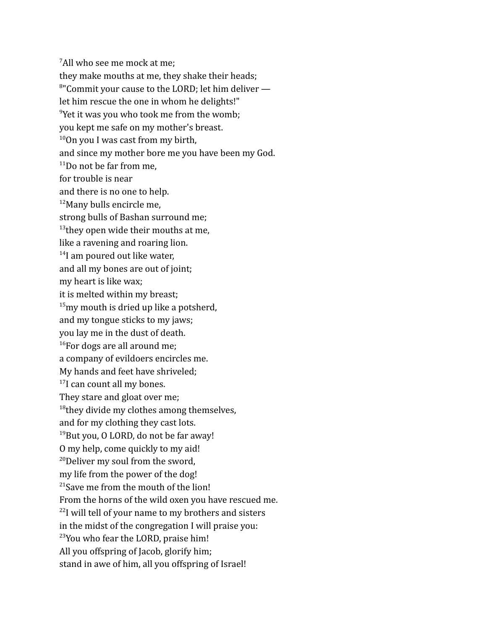<sup>7</sup>All who see me mock at me: they make mouths at me, they shake their heads; <sup>8"</sup>Commit your cause to the LORD; let him deliver let him rescue the one in whom he delights!" <sup>9</sup>Yet it was you who took me from the womb; you kept me safe on my mother's breast.  $10$ On you I was cast from my birth, and since my mother bore me you have been my God.  $11$ Do not be far from me, for trouble is near and there is no one to help. <sup>12</sup>Many bulls encircle me, strong bulls of Bashan surround me; <sup>13</sup> they open wide their mouths at me, like a ravening and roaring lion. <sup>14</sup>I am poured out like water, and all my bones are out of joint; my heart is like wax; it is melted within my breast;  $15$ my mouth is dried up like a potsherd, and my tongue sticks to my jaws; you lay me in the dust of death.  $16$ For dogs are all around me: a company of evildoers encircles me. My hands and feet have shriveled; <sup>17</sup>I can count all my bones. They stare and gloat over me; <sup>18</sup>they divide my clothes among themselves, and for my clothing they cast lots.  $19$ But you, O LORD, do not be far away! O my help, come quickly to my aid!  $20$ Deliver my soul from the sword, my life from the power of the dog! <sup>21</sup>Save me from the mouth of the lion! From the horns of the wild oxen you have rescued me. <sup>22</sup>I will tell of your name to my brothers and sisters in the midst of the congregation I will praise you: <sup>23</sup>You who fear the LORD, praise him! All you offspring of Jacob, glorify him; stand in awe of him, all you offspring of Israel!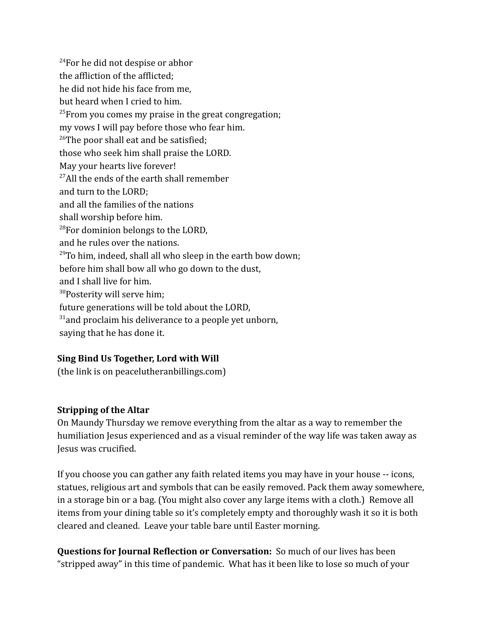<sup>24</sup>For he did not despise or abhor the affliction of the afflicted; he did not hide his face from me, but heard when I cried to him.  $25$ From you comes my praise in the great congregation; my vows I will pay before those who fear him. <sup>26</sup>The poor shall eat and be satisfied; those who seek him shall praise the LORD. May your hearts live forever!  $27$ All the ends of the earth shall remember and turn to the LORD; and all the families of the nations shall worship before him. <sup>28</sup>For dominion belongs to the LORD, and he rules over the nations.  $29$ To him, indeed, shall all who sleep in the earth bow down; before him shall bow all who go down to the dust, and I shall live for him. <sup>30</sup>Posterity will serve him; future generations will be told about the LORD,  $31$ and proclaim his deliverance to a people yet unborn, saying that he has done it.

# **Sing Bind Us Together, Lord with Will**

(the link is on peacelutheranbillings.com)

## **Stripping of the Altar**

On Maundy Thursday we remove everything from the altar as a way to remember the humiliation Jesus experienced and as a visual reminder of the way life was taken away as Jesus was crucified.

If you choose you can gather any faith related items you may have in your house -- icons, statues, religious art and symbols that can be easily removed. Pack them away somewhere, in a storage bin or a bag. (You might also cover any large items with a cloth.) Remove all items from your dining table so it's completely empty and thoroughly wash it so it is both cleared and cleaned. Leave your table bare until Easter morning.

**Questions for Journal Reflection or Conversation:** So much of our lives has been "stripped away" in this time of pandemic. What has it been like to lose so much of your